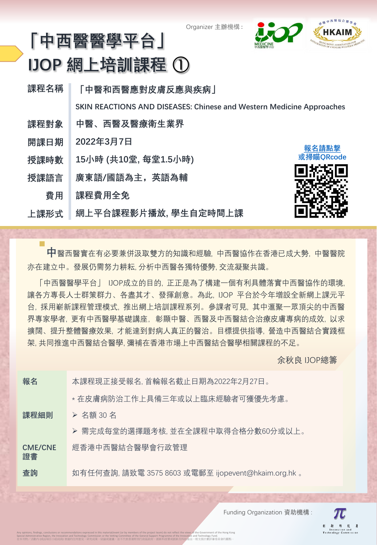Organizer 主辦機構 :



## **IJOP 網上培訓課程**

**「中西醫醫學平台」**

| 課程名稱 | 「中醫和西醫應對皮膚反應與疾病」                                                     |           |
|------|----------------------------------------------------------------------|-----------|
|      | SKIN REACTIONS AND DISEASES: Chinese and Western Medicine Approaches |           |
| 課程對象 | 中醫、西醫及醫療衛生業界                                                         |           |
| 開課日期 | 2022年3月7日                                                            | 報名請點擊     |
| 授課時數 | 15小時 (共10堂, 每堂1.5小時)                                                 | 或掃瞄QRcode |
| 授課語言 | 廣東語/國語為主,英語為輔                                                        |           |
| 費用   | 課程費用全免                                                               |           |
| 上課形式 | 網上平台課程影片播放, 學生自定時間上課                                                 |           |

**中**醫西醫實在有必要兼併汲取雙方的知識和經驗, 中西醫協作在香港已成大勢, 中醫醫院 亦在建立中。發展仍需努力耕耘, 分析中西醫各獨特優勢, 交流凝聚共識。

「中西醫醫學平台」 IJOP成立的目的, 正正是為了構建一個有利具體落實中西醫協作的環境, 讓各方專長人士群策群力、各盡其才、發揮創意。為此, IJOP 平台於今年增設全新網上課元平 台, 採用嶄新課程管理模式, 推出網上培訓課程系列。參課者可見, 其中滙聚一眾頂尖的中西醫 界專家學者,更有中西醫學基礎講座,彰顯中醫、西醫及中西醫結合治療皮膚專病的成效,以求 擴闊、提升整體醫療效果, 才能達到對病人真正的醫治。目標提供指導, 營造中西醫結合實踐框 架, 共同推谁中西醫結合醫學, 彌補在香港市場上中西醫結合醫學相關課程的不足。

余秋良 IJOP總籌

| 報名                   | 本課程現正接受報名,首輪報名截止日期為2022年2月27日。                      |  |
|----------------------|-----------------------------------------------------|--|
|                      | *在皮膚病防治工作上具備三年或以上臨床經驗者可獲優先考慮。                       |  |
| 課程細則                 | ▶ 名額 30 名                                           |  |
|                      | ▷ 需完成每堂的選擇題考核,並在全課程中取得合格分數60分或以上。                   |  |
| <b>CME/CNE</b><br>證書 | 經香港中西醫結合醫學會行政管理                                     |  |
| 查詢                   | 如有任何查詢, 請致電 3575 8603 或電郵至 ijopevent@hkaim.org.hk 。 |  |

Funding Organization 資助機構 :



Any opinions, findings, conclusions or recommendations expressed in this material/event (or by members of the project team) do not reflect the views of the Government of the Hong Kong Special Administrative Region, the Innovation and Technology Commission or the Vetting Committee of the General Support Programme of the Innovation and Technology Fund. 在本刊物/活動內 (或由項目小組成員) 表達的任何意見、研究成果、結論或建議,並不代表香港特別行政區政府、創新科技署或創新及科技基金一般支援計劃評審委員會的觀點。